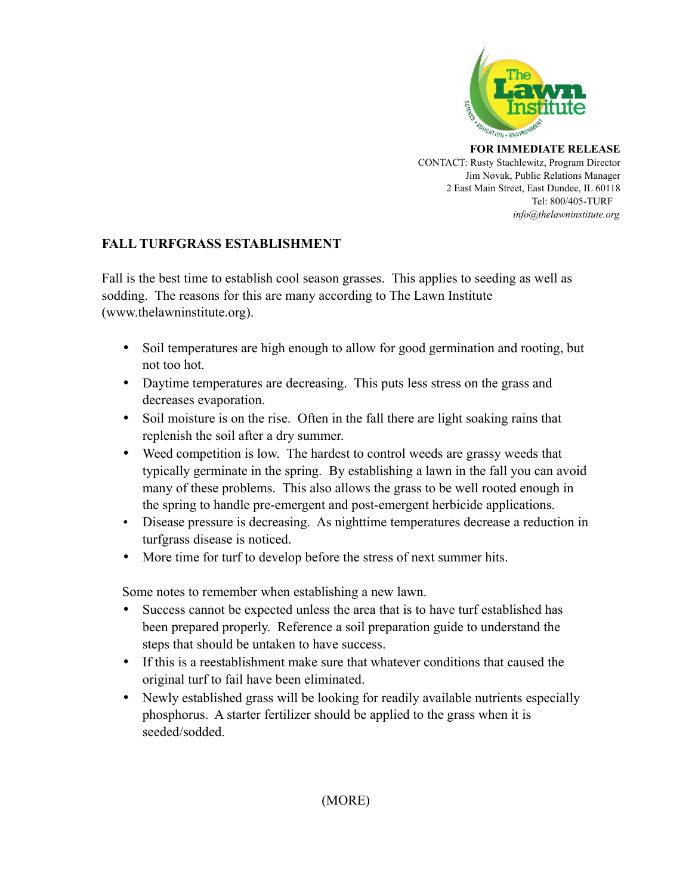

**FOR IMMEDIATE RELEASE** CONTACT: Rusty Stachlewitz, Program Director Jim Novak, Public Relations Manager 2 East Main Street, East Dundee, IL 60118 Tel: 800/405-TURF *info@thelawninstitute.org*

## **FALL TURFGRASS ESTABLISHMENT**

Fall is the best time to establish cool season grasses. This applies to seeding as well as sodding. The reasons for this are many according to The Lawn Institute (www.thelawninstitute.org).

- Soil temperatures are high enough to allow for good germination and rooting, but not too hot.
- Daytime temperatures are decreasing. This puts less stress on the grass and decreases evaporation.
- Soil moisture is on the rise. Often in the fall there are light soaking rains that replenish the soil after a dry summer.
- Weed competition is low. The hardest to control weeds are grassy weeds that typically germinate in the spring. By establishing a lawn in the fall you can avoid many of these problems. This also allows the grass to be well rooted enough in the spring to handle pre-emergent and post-emergent herbicide applications.
- Disease pressure is decreasing. As nighttime temperatures decrease a reduction in turfgrass disease is noticed.
- More time for turf to develop before the stress of next summer hits.

Some notes to remember when establishing a new lawn.

- Success cannot be expected unless the area that is to have turf established has been prepared properly. Reference a soil preparation guide to understand the steps that should be untaken to have success.
- If this is a reestablishment make sure that whatever conditions that caused the original turf to fail have been eliminated.
- Newly established grass will be looking for readily available nutrients especially phosphorus. A starter fertilizer should be applied to the grass when it is seeded/sodded.